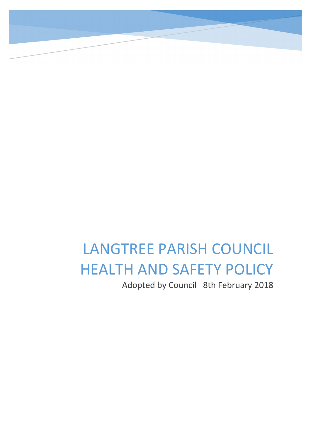# LANGTREE PARISH COUNCIL HEALTH AND SAFETY POLICY Adopted by Council 8th February 2018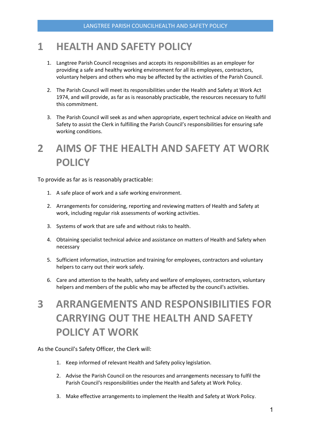#### 1 HEALTH AND SAFETY POLICY

- 1. Langtree Parish Council recognises and accepts its responsibilities as an employer for providing a safe and healthy working environment for all its employees, contractors, voluntary helpers and others who may be affected by the activities of the Parish Council.
- 2. The Parish Council will meet its responsibilities under the Health and Safety at Work Act 1974, and will provide, as far as is reasonably practicable, the resources necessary to fulfil this commitment.
- 3. The Parish Council will seek as and when appropriate, expert technical advice on Health and Safety to assist the Clerk in fulfilling the Parish Council's responsibilities for ensuring safe working conditions.

### 2 AIMS OF THE HEALTH AND SAFETY AT WORK **POLICY**

To provide as far as is reasonably practicable:

- 1. A safe place of work and a safe working environment.
- 2. Arrangements for considering, reporting and reviewing matters of Health and Safety at work, including regular risk assessments of working activities.
- 3. Systems of work that are safe and without risks to health.
- 4. Obtaining specialist technical advice and assistance on matters of Health and Safety when necessary
- 5. Sufficient information, instruction and training for employees, contractors and voluntary helpers to carry out their work safely.
- 6. Care and attention to the health, safety and welfare of employees, contractors, voluntary helpers and members of the public who may be affected by the council's activities.

## 3 ARRANGEMENTS AND RESPONSIBILITIES FOR CARRYING OUT THE HEALTH AND SAFETY POLICY AT WORK

As the Council's Safety Officer, the Clerk will:

- 1. Keep informed of relevant Health and Safety policy legislation.
- 2. Advise the Parish Council on the resources and arrangements necessary to fulfil the Parish Council's responsibilities under the Health and Safety at Work Policy.
- 3. Make effective arrangements to implement the Health and Safety at Work Policy.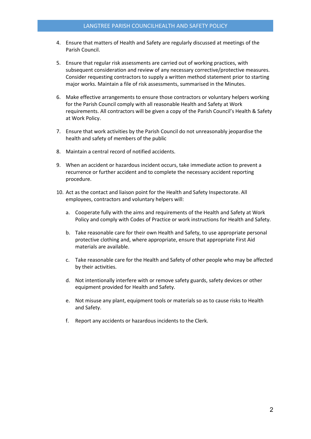- 4. Ensure that matters of Health and Safety are regularly discussed at meetings of the Parish Council.
- 5. Ensure that regular risk assessments are carried out of working practices, with subsequent consideration and review of any necessary corrective/protective measures. Consider requesting contractors to supply a written method statement prior to starting major works. Maintain a file of risk assessments, summarised in the Minutes.
- 6. Make effective arrangements to ensure those contractors or voluntary helpers working for the Parish Council comply with all reasonable Health and Safety at Work requirements. All contractors will be given a copy of the Parish Council's Health & Safety at Work Policy.
- 7. Ensure that work activities by the Parish Council do not unreasonably jeopardise the health and safety of members of the public
- 8. Maintain a central record of notified accidents.
- 9. When an accident or hazardous incident occurs, take immediate action to prevent a recurrence or further accident and to complete the necessary accident reporting procedure.
- 10. Act as the contact and liaison point for the Health and Safety Inspectorate. All employees, contractors and voluntary helpers will:
	- a. Cooperate fully with the aims and requirements of the Health and Safety at Work Policy and comply with Codes of Practice or work instructions for Health and Safety.
	- b. Take reasonable care for their own Health and Safety, to use appropriate personal protective clothing and, where appropriate, ensure that appropriate First Aid materials are available.
	- c. Take reasonable care for the Health and Safety of other people who may be affected by their activities.
	- d. Not intentionally interfere with or remove safety guards, safety devices or other equipment provided for Health and Safety.
	- e. Not misuse any plant, equipment tools or materials so as to cause risks to Health and Safety.
	- f. Report any accidents or hazardous incidents to the Clerk.